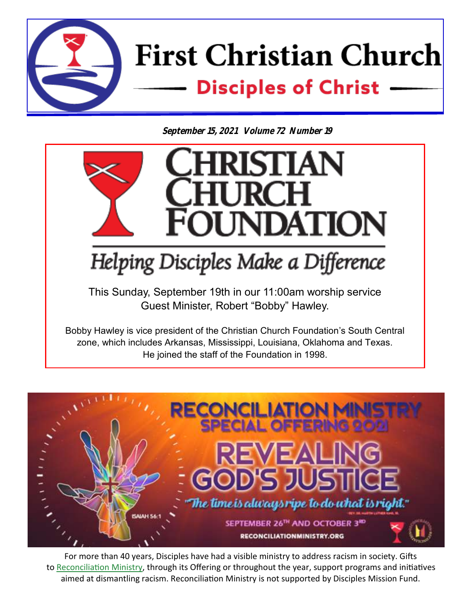

**September 15, 2021 Volume 72 Number 19**



zone, which includes Arkansas, Mississippi, Louisiana, Oklahoma and Texas. He joined the staff of the Foundation in 1998.



For more than 40 years, Disciples have had a visible ministry to address racism in society. Gifts to [Reconciliation Ministry,](http://www.reconciliationministry.org/) through its Offering or throughout the year, support programs and initiatives aimed at dismantling racism. Reconciliation Ministry is not supported by Disciples Mission Fund.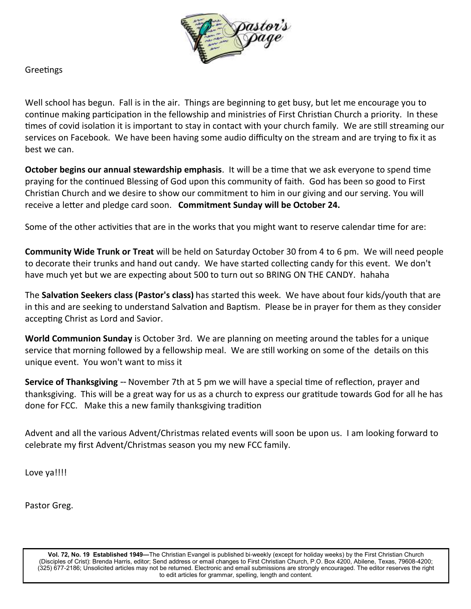

Greetings

Well school has begun. Fall is in the air. Things are beginning to get busy, but let me encourage you to continue making participation in the fellowship and ministries of First Christian Church a priority. In these times of covid isolation it is important to stay in contact with your church family. We are still streaming our services on Facebook. We have been having some audio difficulty on the stream and are trying to fix it as best we can.

**October begins our annual stewardship emphasis**. It will be a time that we ask everyone to spend time praying for the continued Blessing of God upon this community of faith. God has been so good to First Christian Church and we desire to show our commitment to him in our giving and our serving. You will receive a letter and pledge card soon. **Commitment Sunday will be October 24.**

Some of the other activities that are in the works that you might want to reserve calendar time for are:

**Community Wide Trunk or Treat** will be held on Saturday October 30 from 4 to 6 pm. We will need people to decorate their trunks and hand out candy. We have started collecting candy for this event. We don't have much yet but we are expecting about 500 to turn out so BRING ON THE CANDY. hahaha

The **Salvation Seekers class (Pastor's class)** has started this week. We have about four kids/youth that are in this and are seeking to understand Salvation and Baptism. Please be in prayer for them as they consider accepting Christ as Lord and Savior.

**World Communion Sunday** is October 3rd. We are planning on meeting around the tables for a unique service that morning followed by a fellowship meal. We are still working on some of the details on this unique event. You won't want to miss it

**Service of Thanksgiving** -- November 7th at 5 pm we will have a special time of reflection, prayer and thanksgiving. This will be a great way for us as a church to express our gratitude towards God for all he has done for FCC. Make this a new family thanksgiving tradition

Advent and all the various Advent/Christmas related events will soon be upon us. I am looking forward to celebrate my first Advent/Christmas season you my new FCC family.

Love ya!!!!

Pastor Greg.

**Vol. 72, No. 19 Established 1949—**The Christian Evangel is published bi-weekly (except for holiday weeks) by the First Christian Church (Disciples of Crist): Brenda Harris, editor; Send address or email changes to First Christian Church, P.O. Box 4200, Abilene, Texas, 79608-4200; (325) 677-2186; Unsolicited articles may not be returned. Electronic and email submissions are strongly encouraged. The editor reserves the right to edit articles for grammar, spelling, length and content.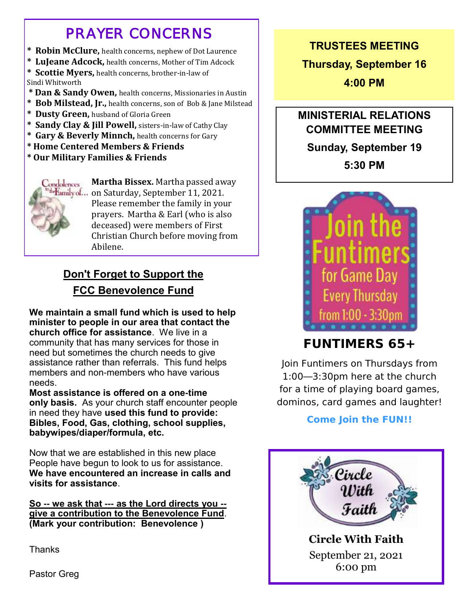# *PRAYER CONCERNS*

- **\* Robin McClure,** health concerns, nephew of Dot Laurence
- **\* LuJeane Adcock,** health concerns, Mother of Tim Adcock

**\* Scottie Myers,** health concerns, brother-in-law of Sindi Whitworth

- **\* Dan & Sandy Owen,** health concerns, Missionaries in Austin
- **\* Bob Milstead, Jr.,** health concerns, son of Bob & Jane Milstead
- **\* Dusty Green,** husband of Gloria Green
- **\* Sandy Clay & Jill Powell,** sisters-in-law of Cathy Clay
- **\* Gary & Beverly Minnch,** health concerns for Gary
- **\* Home Centered Members & Friends**
- **\* Our Military Families & Friends**



**Martha Bissex.** Martha passed away bFamilyof... on Saturday, September 11, 2021. Please remember the family in your prayers. Martha & Earl (who is also deceased) were members of First Christian Church before moving from Abilene.

## **Don't Forget to Support the FCC Benevolence Fund**

**We maintain a small fund which is used to help minister to people in our area that contact the church office for assistance**. We live in a community that has many services for those in need but sometimes the church needs to give assistance rather than referrals. This fund helps members and non-members who have various needs.

**Most assistance is offered on a one-time only basis.** As your church staff encounter people in need they have **used this fund to provide: Bibles, Food, Gas, clothing, school supplies, babywipes/diaper/formula, etc.** 

Now that we are established in this new place People have begun to look to us for assistance. **We have encountered an increase in calls and visits for assistance**.

**So -- we ask that --- as the Lord directs you - give a contribution to the Benevolence Fund**. **(Mark your contribution: Benevolence )**

Thanks

Pastor Greg

#### **TRUSTEES MEETING**

**Thursday, September 16**

**4:00 PM**

## **MINISTERIAL RELATIONS COMMITTEE MEETING**

**Sunday, September 19**

**5:30 PM**



## **FUNTIMERS 65+**

Join Funtimers on Thursdays from 1:00—3:30pm here at the church for a time of playing board games, dominos, card games and laughter!

**Come Join the FUN!!**

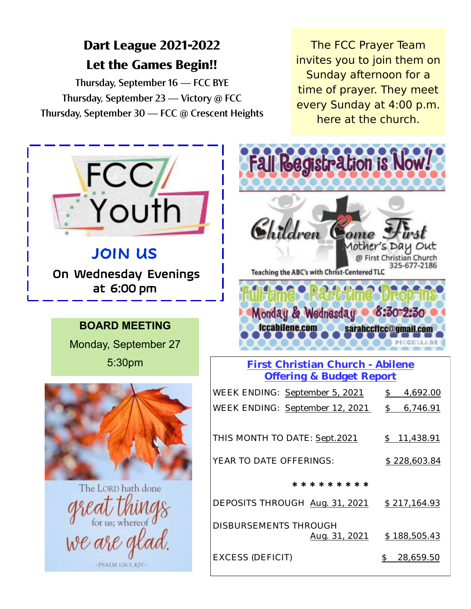## **Dart League 2021-2022 Let the Games Begin!!**

Thursday, September 16 — FCC BYE Thursday, September 23 — Victory @ FCC Thursday, September 30 — FCC @ Crescent Heights

The FCC Prayer Team invites you to join them on Sunday afternoon for a time of prayer. They meet every Sunday at 4:00 p.m. here at the church.

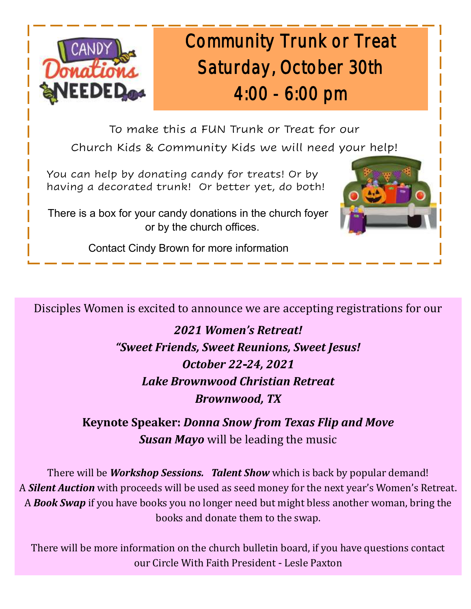

# Community Trunk or Treat Saturday, October 30th 4:00 - 6:00 pm

To make this a FUN Trunk or Treat for our Church Kids & Community Kids we will need your help!

 You can help by donating candy for treats! Or by having a decorated trunk! Or better yet, do both!

 There is a box for your candy donations in the church foyer or by the church offices.



Contact Cindy Brown for more information

Disciples Women is excited to announce we are accepting registrations for our

*2021 Women's Retreat! "Sweet Friends, Sweet Reunions, Sweet Jesus! October 22-24, 2021 Lake Brownwood Christian Retreat Brownwood, TX* 

**Keynote Speaker:** *Donna Snow from Texas Flip and Move Susan Mayo* will be leading the music

There will be *Workshop Sessions. Talent Show* which is back by popular demand! A *Silent Auction* with proceeds will be used as seed money for the next year's Women's Retreat. A *Book Swap* if you have books you no longer need but might bless another woman, bring the books and donate them to the swap.

There will be more information on the church bulletin board, if you have questions contact our Circle With Faith President - Lesle Paxton